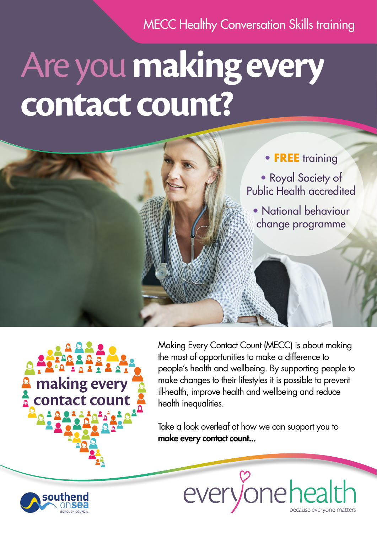MECC Healthy Conversation Skills training

## Are you **makingevery contact count?**





Making Every Contact Count (MECC) is about making the most of opportunities to make a difference to people's health and wellbeing. By supporting people to make changes to their lifestyles it is possible to prevent ill-health, improve health and wellbeing and reduce health inequalities.

Take a look overleaf at how we can support you to make every contact count...



everyonehealth